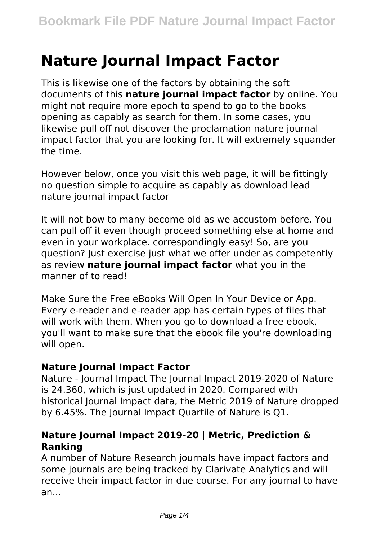# **Nature Journal Impact Factor**

This is likewise one of the factors by obtaining the soft documents of this **nature journal impact factor** by online. You might not require more epoch to spend to go to the books opening as capably as search for them. In some cases, you likewise pull off not discover the proclamation nature journal impact factor that you are looking for. It will extremely squander the time.

However below, once you visit this web page, it will be fittingly no question simple to acquire as capably as download lead nature journal impact factor

It will not bow to many become old as we accustom before. You can pull off it even though proceed something else at home and even in your workplace. correspondingly easy! So, are you question? Just exercise just what we offer under as competently as review **nature journal impact factor** what you in the manner of to read!

Make Sure the Free eBooks Will Open In Your Device or App. Every e-reader and e-reader app has certain types of files that will work with them. When you go to download a free ebook, you'll want to make sure that the ebook file you're downloading will open.

#### **Nature Journal Impact Factor**

Nature - Journal Impact The Journal Impact 2019-2020 of Nature is 24.360, which is just updated in 2020. Compared with historical Journal Impact data, the Metric 2019 of Nature dropped by 6.45%. The Journal Impact Quartile of Nature is Q1.

## **Nature Journal Impact 2019-20 | Metric, Prediction & Ranking**

A number of Nature Research journals have impact factors and some journals are being tracked by Clarivate Analytics and will receive their impact factor in due course. For any journal to have an...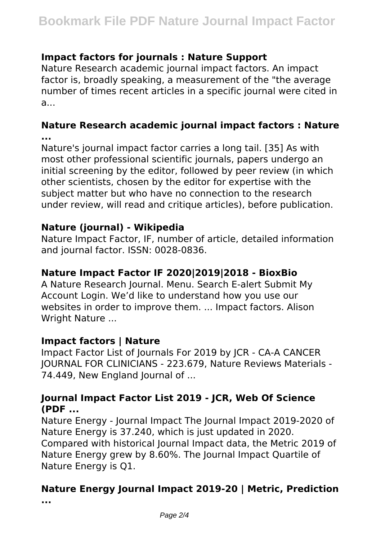## **Impact factors for journals : Nature Support**

Nature Research academic journal impact factors. An impact factor is, broadly speaking, a measurement of the "the average number of times recent articles in a specific journal were cited in a...

# **Nature Research academic journal impact factors : Nature ...**

Nature's journal impact factor carries a long tail. [35] As with most other professional scientific journals, papers undergo an initial screening by the editor, followed by peer review (in which other scientists, chosen by the editor for expertise with the subject matter but who have no connection to the research under review, will read and critique articles), before publication.

### **Nature (journal) - Wikipedia**

Nature Impact Factor, IF, number of article, detailed information and journal factor. ISSN: 0028-0836.

#### **Nature Impact Factor IF 2020|2019|2018 - BioxBio**

A Nature Research Journal. Menu. Search E-alert Submit My Account Login. We'd like to understand how you use our websites in order to improve them. ... Impact factors. Alison Wright Nature ...

## **Impact factors | Nature**

Impact Factor List of Journals For 2019 by JCR - CA-A CANCER JOURNAL FOR CLINICIANS - 223.679, Nature Reviews Materials - 74.449, New England Journal of ...

### **Journal Impact Factor List 2019 - JCR, Web Of Science (PDF ...**

Nature Energy - Journal Impact The Journal Impact 2019-2020 of Nature Energy is 37.240, which is just updated in 2020. Compared with historical Journal Impact data, the Metric 2019 of Nature Energy grew by 8.60%. The Journal Impact Quartile of Nature Energy is Q1.

# **Nature Energy Journal Impact 2019-20 | Metric, Prediction**

**...**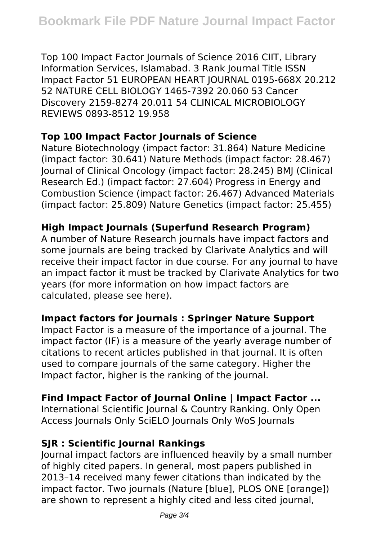Top 100 Impact Factor Journals of Science 2016 CIIT, Library Information Services, Islamabad. 3 Rank Journal Title ISSN Impact Factor 51 EUROPEAN HEART JOURNAL 0195-668X 20.212 52 NATURE CELL BIOLOGY 1465-7392 20.060 53 Cancer Discovery 2159-8274 20.011 54 CLINICAL MICROBIOLOGY REVIEWS 0893-8512 19.958

## **Top 100 Impact Factor Journals of Science**

Nature Biotechnology (impact factor: 31.864) Nature Medicine (impact factor: 30.641) Nature Methods (impact factor: 28.467) Journal of Clinical Oncology (impact factor: 28.245) BMJ (Clinical Research Ed.) (impact factor: 27.604) Progress in Energy and Combustion Science (impact factor: 26.467) Advanced Materials (impact factor: 25.809) Nature Genetics (impact factor: 25.455)

### **High Impact Journals (Superfund Research Program)**

A number of Nature Research journals have impact factors and some journals are being tracked by Clarivate Analytics and will receive their impact factor in due course. For any journal to have an impact factor it must be tracked by Clarivate Analytics for two years (for more information on how impact factors are calculated, please see here).

## **Impact factors for journals : Springer Nature Support**

Impact Factor is a measure of the importance of a journal. The impact factor (IF) is a measure of the yearly average number of citations to recent articles published in that journal. It is often used to compare journals of the same category. Higher the Impact factor, higher is the ranking of the journal.

## **Find Impact Factor of Journal Online | Impact Factor ...**

International Scientific Journal & Country Ranking. Only Open Access Journals Only SciELO Journals Only WoS Journals

## **SJR : Scientific Journal Rankings**

Journal impact factors are influenced heavily by a small number of highly cited papers. In general, most papers published in 2013–14 received many fewer citations than indicated by the impact factor. Two journals (Nature [blue], PLOS ONE [orange]) are shown to represent a highly cited and less cited journal,